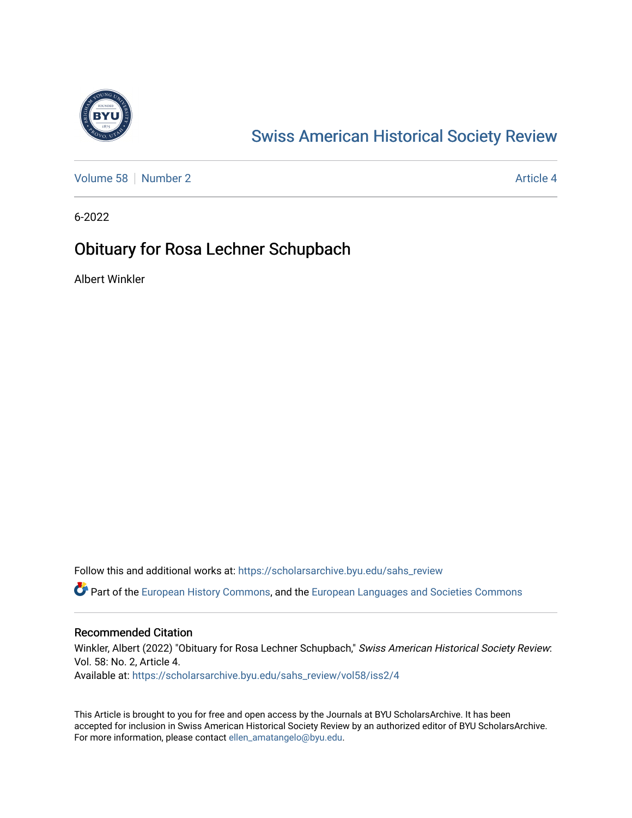

## [Swiss American Historical Society Review](https://scholarsarchive.byu.edu/sahs_review)

[Volume 58](https://scholarsarchive.byu.edu/sahs_review/vol58) [Number 2](https://scholarsarchive.byu.edu/sahs_review/vol58/iss2) Article 4

6-2022

### Obituary for Rosa Lechner Schupbach

Albert Winkler

Follow this and additional works at: [https://scholarsarchive.byu.edu/sahs\\_review](https://scholarsarchive.byu.edu/sahs_review?utm_source=scholarsarchive.byu.edu%2Fsahs_review%2Fvol58%2Fiss2%2F4&utm_medium=PDF&utm_campaign=PDFCoverPages)

Part of the [European History Commons](https://network.bepress.com/hgg/discipline/492?utm_source=scholarsarchive.byu.edu%2Fsahs_review%2Fvol58%2Fiss2%2F4&utm_medium=PDF&utm_campaign=PDFCoverPages), and the [European Languages and Societies Commons](https://network.bepress.com/hgg/discipline/482?utm_source=scholarsarchive.byu.edu%2Fsahs_review%2Fvol58%2Fiss2%2F4&utm_medium=PDF&utm_campaign=PDFCoverPages)

#### Recommended Citation

Winkler, Albert (2022) "Obituary for Rosa Lechner Schupbach," Swiss American Historical Society Review: Vol. 58: No. 2, Article 4. Available at: [https://scholarsarchive.byu.edu/sahs\\_review/vol58/iss2/4](https://scholarsarchive.byu.edu/sahs_review/vol58/iss2/4?utm_source=scholarsarchive.byu.edu%2Fsahs_review%2Fvol58%2Fiss2%2F4&utm_medium=PDF&utm_campaign=PDFCoverPages) 

This Article is brought to you for free and open access by the Journals at BYU ScholarsArchive. It has been accepted for inclusion in Swiss American Historical Society Review by an authorized editor of BYU ScholarsArchive. For more information, please contact [ellen\\_amatangelo@byu.edu.](mailto:ellen_amatangelo@byu.edu)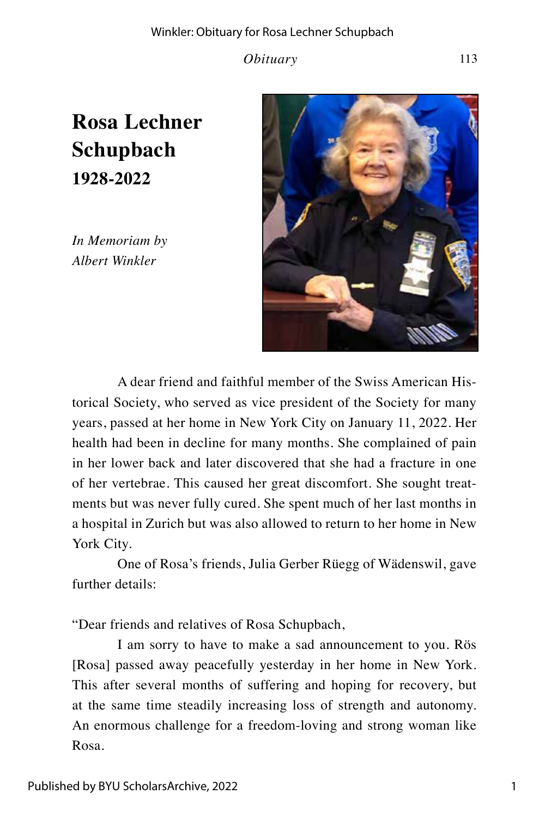*Obituary* 113

# **Rosa Lechner Schupbach 1928-2022**

*In Memoriam by Albert Winkler*



A dear friend and faithful member of the Swiss American Historical Society, who served as vice president of the Society for many years, passed at her home in New York City on January 11, 2022. Her health had been in decline for many months. She complained of pain in her lower back and later discovered that she had a fracture in one of her vertebrae. This caused her great discomfort. She sought treatments but was never fully cured. She spent much of her last months in a hospital in Zurich but was also allowed to return to her home in New York City.

One of Rosa's friends, Julia Gerber Rüegg of Wädenswil, gave further details:

"Dear friends and relatives of Rosa Schupbach,

I am sorry to have to make a sad announcement to you. Rös [Rosa] passed away peacefully yesterday in her home in New York. This after several months of suffering and hoping for recovery, but at the same time steadily increasing loss of strength and autonomy. An enormous challenge for a freedom-loving and strong woman like Rosa.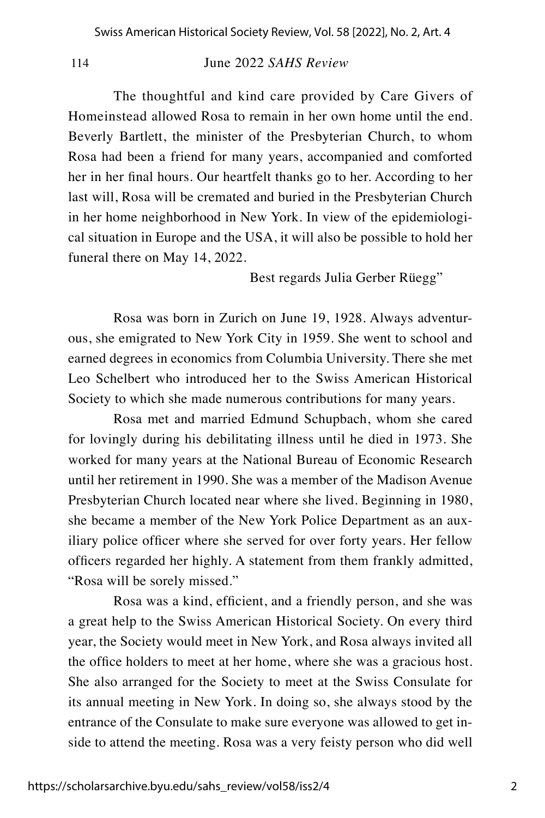114June 2022 *SAHS Review*

The thoughtful and kind care provided by Care Givers of Homeinstead allowed Rosa to remain in her own home until the end. Beverly Bartlett, the minister of the Presbyterian Church, to whom Rosa had been a friend for many years, accompanied and comforted her in her final hours. Our heartfelt thanks go to her. According to her last will, Rosa will be cremated and buried in the Presbyterian Church in her home neighborhood in New York. In view of the epidemiological situation in Europe and the USA, it will also be possible to hold her funeral there on May 14, 2022.

Best regards Julia Gerber Rüegg"

Rosa was born in Zurich on June 19, 1928. Always adventurous, she emigrated to New York City in 1959. She went to school and earned degrees in economics from Columbia University. There she met Leo Schelbert who introduced her to the Swiss American Historical Society to which she made numerous contributions for many years.

Rosa met and married Edmund Schupbach, whom she cared for lovingly during his debilitating illness until he died in 1973. She worked for many years at the National Bureau of Economic Research until her retirement in 1990. She was a member of the Madison Avenue Presbyterian Church located near where she lived. Beginning in 1980, she became a member of the New York Police Department as an auxiliary police officer where she served for over forty years. Her fellow officers regarded her highly. A statement from them frankly admitted, "Rosa will be sorely missed."

Rosa was a kind, efficient, and a friendly person, and she was a great help to the Swiss American Historical Society. On every third year, the Society would meet in New York, and Rosa always invited all the office holders to meet at her home, where she was a gracious host. She also arranged for the Society to meet at the Swiss Consulate for its annual meeting in New York. In doing so, she always stood by the entrance of the Consulate to make sure everyone was allowed to get inside to attend the meeting. Rosa was a very feisty person who did well